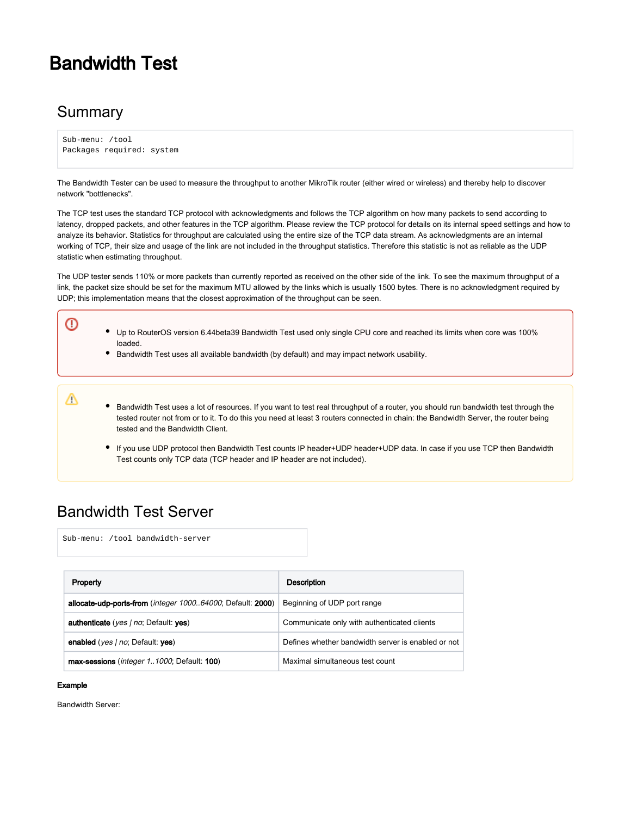# Bandwidth Test

## **Summary**

⋒

Δ

```
Sub-menu: /tool 
Packages required: system
```
The Bandwidth Tester can be used to measure the throughput to another MikroTik router (either wired or wireless) and thereby help to discover network "bottlenecks".

The TCP test uses the standard TCP protocol with acknowledgments and follows the TCP algorithm on how many packets to send according to latency, dropped packets, and other features in the TCP algorithm. Please review the TCP protocol for details on its internal speed settings and how to analyze its behavior. Statistics for throughput are calculated using the entire size of the TCP data stream. As acknowledgments are an internal working of TCP, their size and usage of the link are not included in the throughput statistics. Therefore this statistic is not as reliable as the UDP statistic when estimating throughput.

The UDP tester sends 110% or more packets than currently reported as received on the other side of the link. To see the maximum throughput of a link, the packet size should be set for the maximum MTU allowed by the links which is usually 1500 bytes. There is no acknowledgment required by UDP; this implementation means that the closest approximation of the throughput can be seen.

- Up to RouterOS version 6.44beta39 Bandwidth Test used only single CPU core and reached its limits when core was 100% loaded.
	- Bandwidth Test uses all available bandwidth (by default) and may impact network usability.

Bandwidth Test uses a lot of resources. If you want to test real throughput of a router, you should run bandwidth test through the tested router not from or to it. To do this you need at least 3 routers connected in chain: the Bandwidth Server, the router being tested and the Bandwidth Client.

If you use UDP protocol then Bandwidth Test counts IP header+UDP header+UDP data. In case if you use TCP then Bandwidth Test counts only TCP data (TCP header and IP header are not included).

## Bandwidth Test Server

Sub-menu: /tool bandwidth-server

| Property                                                   | Description                                        |
|------------------------------------------------------------|----------------------------------------------------|
| allocate-udp-ports-from (integer 100064000; Default: 2000) | Beginning of UDP port range                        |
| <b>authenticate</b> (yes   no; Default: yes)               | Communicate only with authenticated clients        |
| enabled (yes / no: Default: yes)                           | Defines whether bandwidth server is enabled or not |
| max-sessions ( <i>integer 11000</i> ; Default: 100)        | Maximal simultaneous test count                    |

#### Example

Bandwidth Server: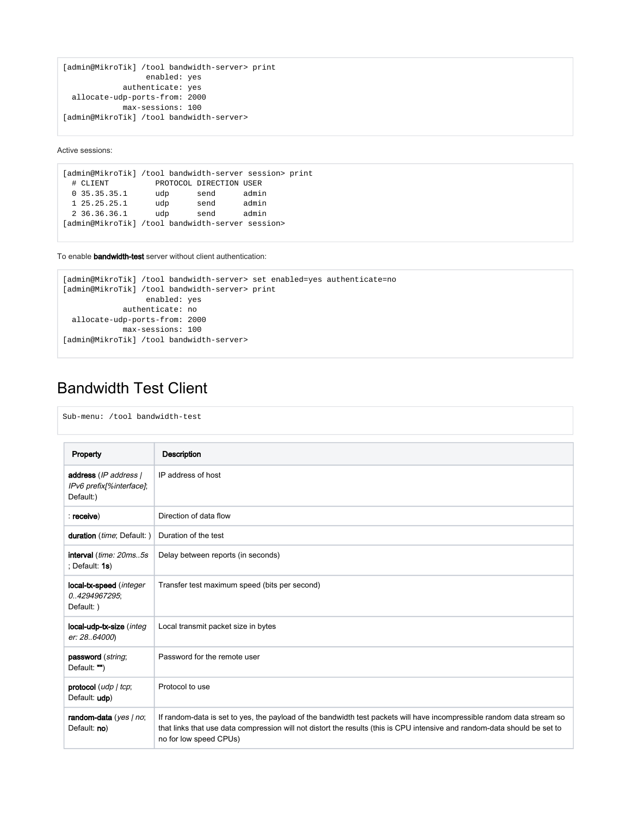```
[admin@MikroTik] /tool bandwidth-server> print 
                  enabled: yes 
             authenticate: yes 
  allocate-udp-ports-from: 2000 
             max-sessions: 100 
[admin@MikroTik] /tool bandwidth-server>
```
Active sessions:

```
[admin@MikroTik] /tool bandwidth-server session> print
 # CLIENT PROTOCOL DIRECTION USER
 0 35.35.35.1 udp send admin
 1 25.25.25.1 udp send admin
 2 36.36.36.1 udp send admin
[admin@MikroTik] /tool bandwidth-server session>
```
To enable **bandwidth-test** server without client authentication:

```
[admin@MikroTik] /tool bandwidth-server> set enabled=yes authenticate=no 
[admin@MikroTik] /tool bandwidth-server> print 
                  enabled: yes 
             authenticate: no 
 allocate-udp-ports-from: 2000 
            max-sessions: 100 
[admin@MikroTik] /tool bandwidth-server>
```
# Bandwidth Test Client

| Sub-menu: /tool bandwidth-test                                 |                                                                                                                                                                                                                                                                               |
|----------------------------------------------------------------|-------------------------------------------------------------------------------------------------------------------------------------------------------------------------------------------------------------------------------------------------------------------------------|
| Property                                                       | <b>Description</b>                                                                                                                                                                                                                                                            |
| address (IP address  <br>IPv6 prefix[%interface];<br>Default:) | IP address of host                                                                                                                                                                                                                                                            |
| : receive)                                                     | Direction of data flow                                                                                                                                                                                                                                                        |
| duration (time; Default: )                                     | Duration of the test                                                                                                                                                                                                                                                          |
| interval (time: 20ms5s<br>: Default: $1s$ )                    | Delay between reports (in seconds)                                                                                                                                                                                                                                            |
| local-tx-speed (integer<br>0.4294967295;<br>Default: )         | Transfer test maximum speed (bits per second)                                                                                                                                                                                                                                 |
| local-udp-tx-size (integ<br>er: 28.64000)                      | Local transmit packet size in bytes                                                                                                                                                                                                                                           |
| password (string;<br>Default: "")                              | Password for the remote user                                                                                                                                                                                                                                                  |
| protocol (udp   tcp;<br>Default: udp)                          | Protocol to use                                                                                                                                                                                                                                                               |
| random-data (yes   no;<br>Default: no)                         | If random-data is set to yes, the payload of the bandwidth test packets will have incompressible random data stream so<br>that links that use data compression will not distort the results (this is CPU intensive and random-data should be set to<br>no for low speed CPUs) |